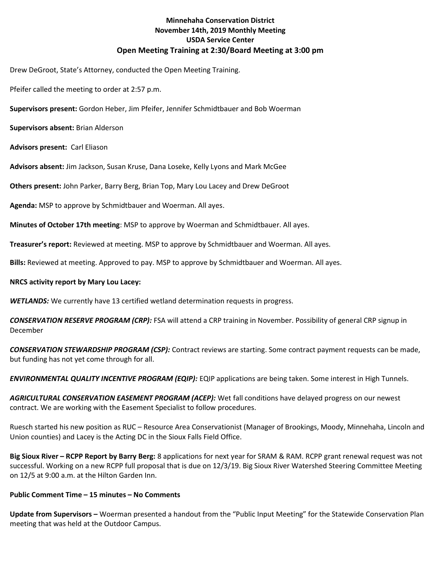# Minnehaha Conservation District November 14th, 2019 Monthly Meeting USDA Service Center Open Meeting Training at 2:30/Board Meeting at 3:00 pm

Drew DeGroot, State's Attorney, conducted the Open Meeting Training.

Pfeifer called the meeting to order at 2:57 p.m.

Supervisors present: Gordon Heber, Jim Pfeifer, Jennifer Schmidtbauer and Bob Woerman

Supervisors absent: Brian Alderson

Advisors present: Carl Eliason

Advisors absent: Jim Jackson, Susan Kruse, Dana Loseke, Kelly Lyons and Mark McGee

Others present: John Parker, Barry Berg, Brian Top, Mary Lou Lacey and Drew DeGroot

Agenda: MSP to approve by Schmidtbauer and Woerman. All ayes.

Minutes of October 17th meeting: MSP to approve by Woerman and Schmidtbauer. All ayes.

Treasurer's report: Reviewed at meeting. MSP to approve by Schmidtbauer and Woerman. All ayes.

Bills: Reviewed at meeting. Approved to pay. MSP to approve by Schmidtbauer and Woerman. All ayes.

#### NRCS activity report by Mary Lou Lacey:

WETLANDS: We currently have 13 certified wetland determination requests in progress.

CONSERVATION RESERVE PROGRAM (CRP): FSA will attend a CRP training in November. Possibility of general CRP signup in December

CONSERVATION STEWARDSHIP PROGRAM (CSP): Contract reviews are starting. Some contract payment requests can be made, but funding has not yet come through for all.

**ENVIRONMENTAL QUALITY INCENTIVE PROGRAM (EQIP):** EQIP applications are being taken. Some interest in High Tunnels.

AGRICULTURAL CONSERVATION EASEMENT PROGRAM (ACEP): Wet fall conditions have delayed progress on our newest contract. We are working with the Easement Specialist to follow procedures.

Ruesch started his new position as RUC – Resource Area Conservationist (Manager of Brookings, Moody, Minnehaha, Lincoln and Union counties) and Lacey is the Acting DC in the Sioux Falls Field Office.

Big Sioux River – RCPP Report by Barry Berg: 8 applications for next year for SRAM & RAM. RCPP grant renewal request was not successful. Working on a new RCPP full proposal that is due on 12/3/19. Big Sioux River Watershed Steering Committee Meeting on 12/5 at 9:00 a.m. at the Hilton Garden Inn.

## Public Comment Time – 15 minutes – No Comments

Update from Supervisors - Woerman presented a handout from the "Public Input Meeting" for the Statewide Conservation Plan meeting that was held at the Outdoor Campus.